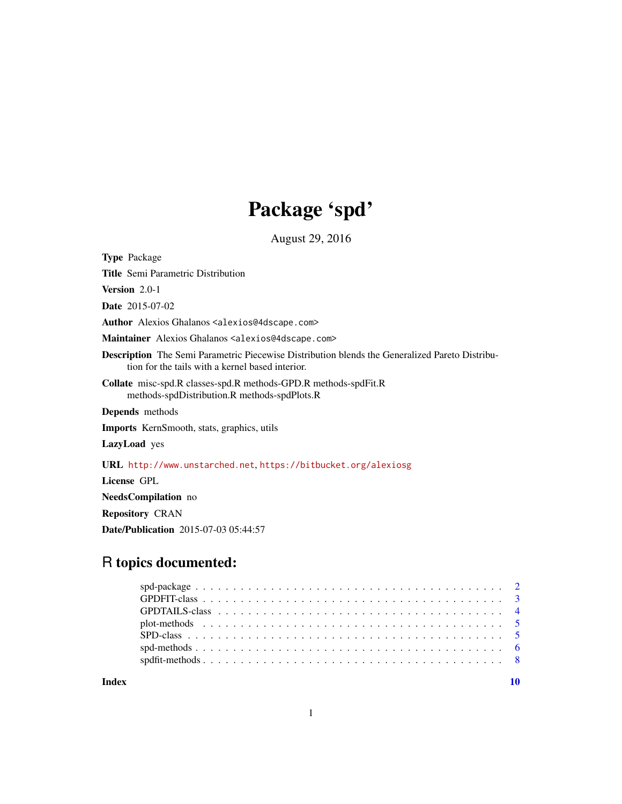# Package 'spd'

August 29, 2016

Type Package Title Semi Parametric Distribution Version 2.0-1 Date 2015-07-02 Author Alexios Ghalanos <alexios@4dscape.com> Maintainer Alexios Ghalanos <alexios@4dscape.com> Description The Semi Parametric Piecewise Distribution blends the Generalized Pareto Distribution for the tails with a kernel based interior. Collate misc-spd.R classes-spd.R methods-GPD.R methods-spdFit.R methods-spdDistribution.R methods-spdPlots.R Depends methods Imports KernSmooth, stats, graphics, utils LazyLoad yes URL <http://www.unstarched.net>, <https://bitbucket.org/alexiosg> License GPL NeedsCompilation no Repository CRAN Date/Publication 2015-07-03 05:44:57

# R topics documented:

 $\blacksquare$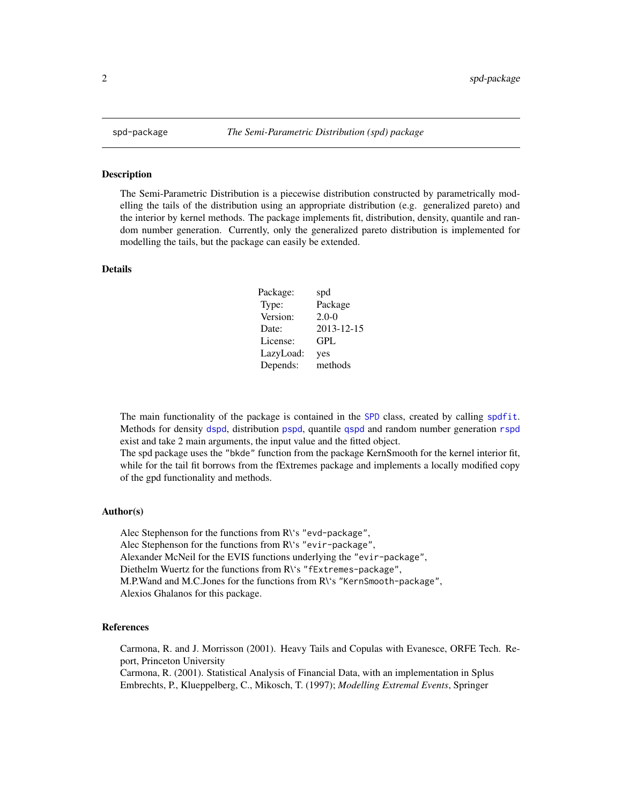#### Description

The Semi-Parametric Distribution is a piecewise distribution constructed by parametrically modelling the tails of the distribution using an appropriate distribution (e.g. generalized pareto) and the interior by kernel methods. The package implements fit, distribution, density, quantile and random number generation. Currently, only the generalized pareto distribution is implemented for modelling the tails, but the package can easily be extended.

# Details

| Package:  | spd        |
|-----------|------------|
| Type:     | Package    |
| Version:  | $2.0 - 0$  |
| Date:     | 2013-12-15 |
| License:  | GPL        |
| LazyLoad: | yes        |
| Depends:  | methods    |

The main functionality of the package is contained in the [SPD](#page-4-1) class, created by calling [spdfit](#page-7-1). Methods for density [dspd](#page-5-1), distribution [pspd](#page-5-1), quantile [qspd](#page-5-1) and random number generation [rspd](#page-5-1) exist and take 2 main arguments, the input value and the fitted object.

The spd package uses the "bkde" function from the package KernSmooth for the kernel interior fit, while for the tail fit borrows from the fExtremes package and implements a locally modified copy of the gpd functionality and methods.

#### Author(s)

Alec Stephenson for the functions from R\'s "evd-package", Alec Stephenson for the functions from R\'s "evir-package", Alexander McNeil for the EVIS functions underlying the "evir-package", Diethelm Wuertz for the functions from R\'s "fExtremes-package", M.P.Wand and M.C.Jones for the functions from R\'s "KernSmooth-package", Alexios Ghalanos for this package.

#### References

Carmona, R. and J. Morrisson (2001). Heavy Tails and Copulas with Evanesce, ORFE Tech. Report, Princeton University

Carmona, R. (2001). Statistical Analysis of Financial Data, with an implementation in Splus Embrechts, P., Klueppelberg, C., Mikosch, T. (1997); *Modelling Extremal Events*, Springer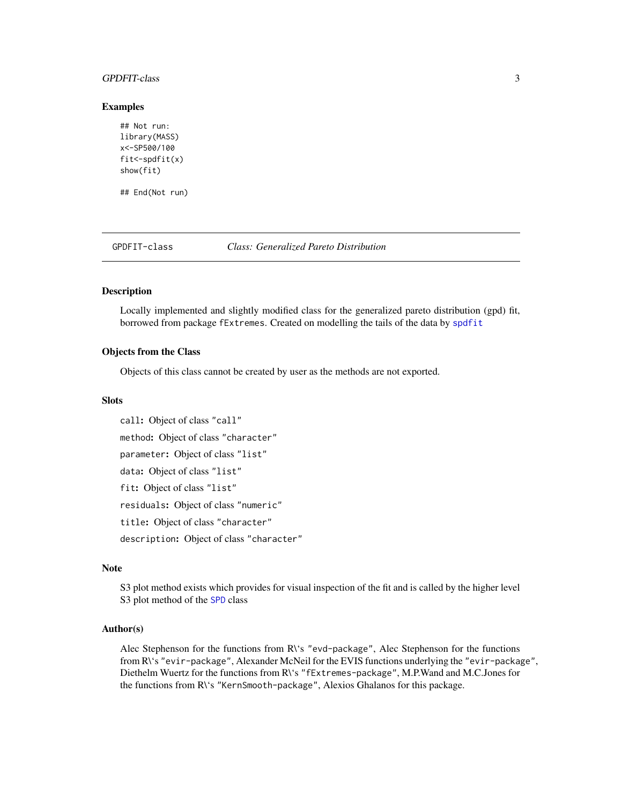#### <span id="page-2-0"></span>GPDFIT-class 3

#### Examples

```
## Not run:
library(MASS)
x<-SP500/100
fit<-spdfit(x)
show(fit)
```
## End(Not run)

<span id="page-2-1"></span>

GPDFIT-class *Class: Generalized Pareto Distribution*

#### Description

Locally implemented and slightly modified class for the generalized pareto distribution (gpd) fit, borrowed from package fExtremes. Created on modelling the tails of the data by [spdfit](#page-7-1)

# Objects from the Class

Objects of this class cannot be created by user as the methods are not exported.

# Slots

call: Object of class "call" method: Object of class "character" parameter: Object of class "list" data: Object of class "list" fit: Object of class "list" residuals: Object of class "numeric" title: Object of class "character" description: Object of class "character"

# Note

S3 plot method exists which provides for visual inspection of the fit and is called by the higher level S3 plot method of the [SPD](#page-4-1) class

#### Author(s)

Alec Stephenson for the functions from R\'s "evd-package", Alec Stephenson for the functions from R\'s "evir-package", Alexander McNeil for the EVIS functions underlying the "evir-package", Diethelm Wuertz for the functions from R\'s "fExtremes-package", M.P.Wand and M.C.Jones for the functions from R\'s "KernSmooth-package", Alexios Ghalanos for this package.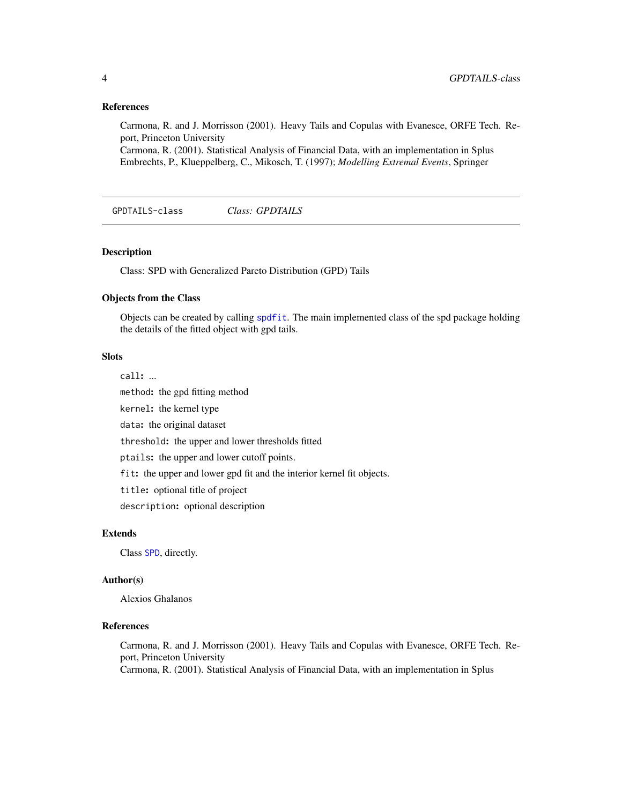#### References

Carmona, R. and J. Morrisson (2001). Heavy Tails and Copulas with Evanesce, ORFE Tech. Report, Princeton University

Carmona, R. (2001). Statistical Analysis of Financial Data, with an implementation in Splus Embrechts, P., Klueppelberg, C., Mikosch, T. (1997); *Modelling Extremal Events*, Springer

<span id="page-3-1"></span>GPDTAILS-class *Class: GPDTAILS*

#### Description

Class: SPD with Generalized Pareto Distribution (GPD) Tails

#### Objects from the Class

Objects can be created by calling [spdfit](#page-7-1). The main implemented class of the spd package holding the details of the fitted object with gpd tails.

# **Slots**

call: ... method: the gpd fitting method kernel: the kernel type data: the original dataset threshold: the upper and lower thresholds fitted ptails: the upper and lower cutoff points. fit: the upper and lower gpd fit and the interior kernel fit objects. title: optional title of project description: optional description

### Extends

Class [SPD](#page-4-1), directly.

#### Author(s)

Alexios Ghalanos

#### References

Carmona, R. and J. Morrisson (2001). Heavy Tails and Copulas with Evanesce, ORFE Tech. Report, Princeton University Carmona, R. (2001). Statistical Analysis of Financial Data, with an implementation in Splus

<span id="page-3-0"></span>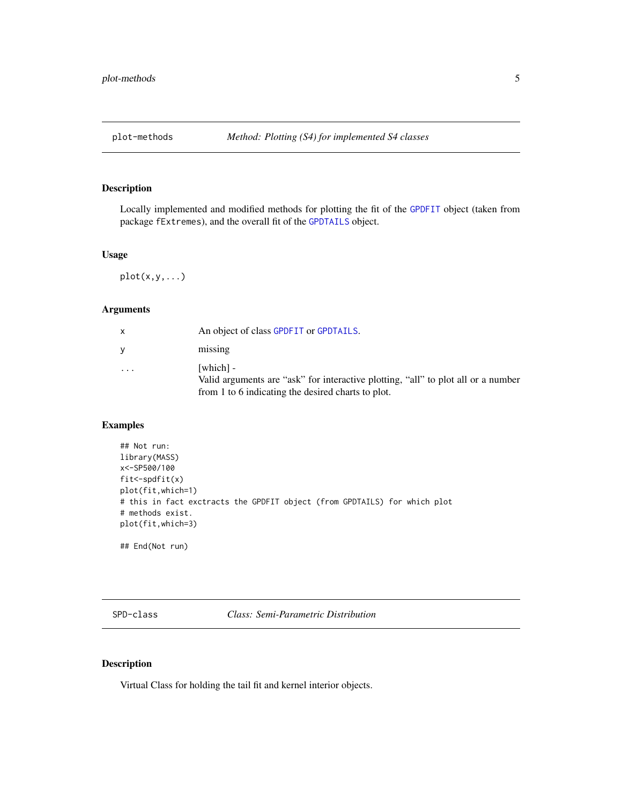# <span id="page-4-0"></span>Description

Locally implemented and modified methods for plotting the fit of the [GPDFIT](#page-2-1) object (taken from package fExtremes), and the overall fit of the [GPDTAILS](#page-3-1) object.

#### Usage

 $plot(x,y,...)$ 

# Arguments

| X       | An object of class GPDFIT or GPDTAILS.                                                                                                               |
|---------|------------------------------------------------------------------------------------------------------------------------------------------------------|
| V       | missing                                                                                                                                              |
| $\cdot$ | [which] -<br>Valid arguments are "ask" for interactive plotting, "all" to plot all or a number<br>from 1 to 6 indicating the desired charts to plot. |

# Examples

```
## Not run:
library(MASS)
x<-SP500/100
fit < -splitplot(fit,which=1)
# this in fact exctracts the GPDFIT object (from GPDTAILS) for which plot
# methods exist.
plot(fit,which=3)
```
## End(Not run)

<span id="page-4-1"></span>SPD-class *Class: Semi-Parametric Distribution*

# Description

Virtual Class for holding the tail fit and kernel interior objects.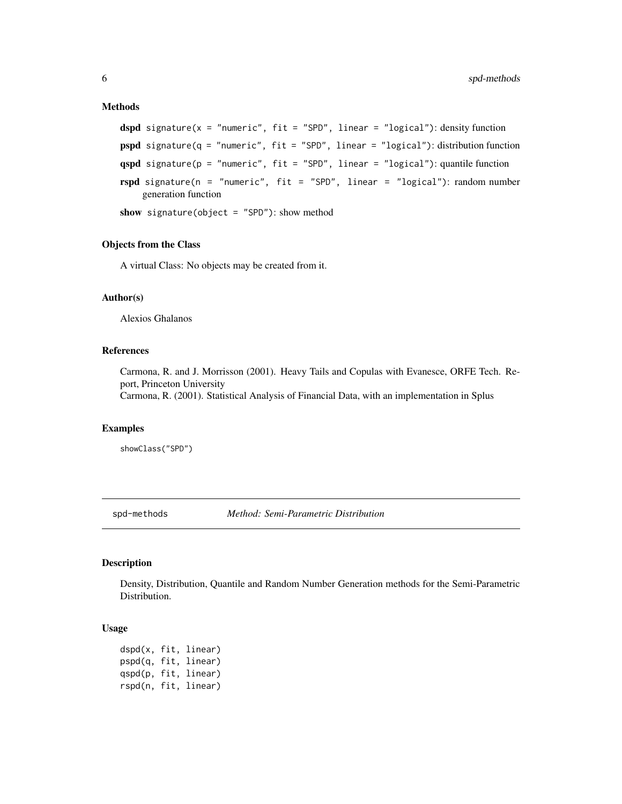#### <span id="page-5-0"></span>Methods

```
dspd signature(x = "numeric", fit = "SPD", linear = "logical"): density function
pspd signature(q = "numeric", fit = "SPD", linear = "logical"): distribution function
qspd signature(p = "numeric", fit = "SPD", linear = "logical"): quantile function
rspd signature(n = "numeric", fit = "SPD", linear = "logical"): random number
    generation function
show signature(object = "SPD"): show method
```
# Objects from the Class

A virtual Class: No objects may be created from it.

#### Author(s)

Alexios Ghalanos

#### References

Carmona, R. and J. Morrisson (2001). Heavy Tails and Copulas with Evanesce, ORFE Tech. Report, Princeton University

Carmona, R. (2001). Statistical Analysis of Financial Data, with an implementation in Splus

#### Examples

```
showClass("SPD")
```
spd-methods *Method: Semi-Parametric Distribution*

# <span id="page-5-1"></span>Description

Density, Distribution, Quantile and Random Number Generation methods for the Semi-Parametric Distribution.

#### Usage

```
dspd(x, fit, linear)
pspd(q, fit, linear)
qspd(p, fit, linear)
rspd(n, fit, linear)
```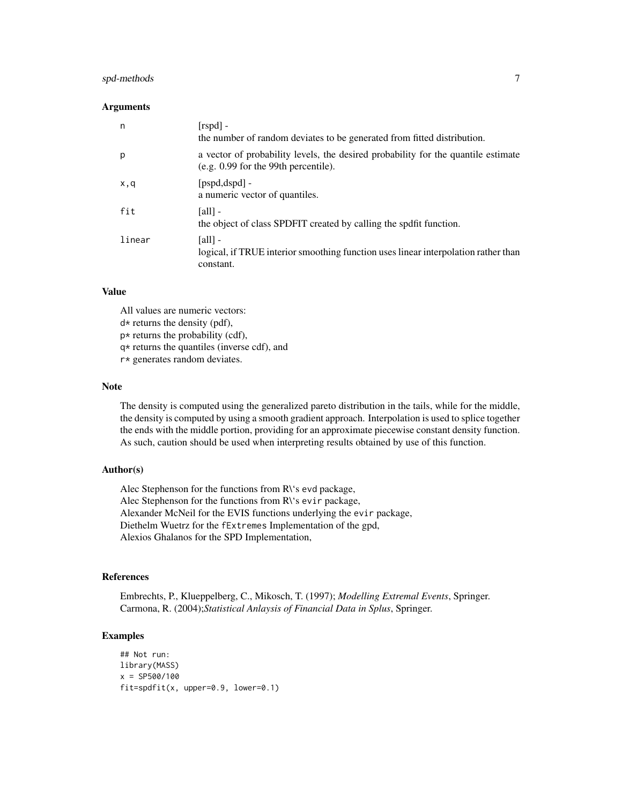# spd-methods 7

#### Arguments

| n      | $[\text{rspd}]$ -<br>the number of random deviates to be generated from fitted distribution.                                    |
|--------|---------------------------------------------------------------------------------------------------------------------------------|
| р      | a vector of probability levels, the desired probability for the quantile estimate<br>$(e.g. 0.99)$ for the 99th percentile).    |
| x,q    | $[pspd, dspd]$ -<br>a numeric vector of quantiles.                                                                              |
| fit    | [all] -<br>the object of class SPDFIT created by calling the spdfit function.                                                   |
| linear | $\lceil \text{all} \rceil$ -<br>logical, if TRUE interior smoothing function uses linear interpolation rather than<br>constant. |

### Value

All values are numeric vectors:

 $d*$  returns the density (pdf),

p\* returns the probability (cdf),

q\* returns the quantiles (inverse cdf), and

r\* generates random deviates.

# Note

The density is computed using the generalized pareto distribution in the tails, while for the middle, the density is computed by using a smooth gradient approach. Interpolation is used to splice together the ends with the middle portion, providing for an approximate piecewise constant density function. As such, caution should be used when interpreting results obtained by use of this function.

# Author(s)

Alec Stephenson for the functions from R\'s evd package, Alec Stephenson for the functions from R\'s evir package, Alexander McNeil for the EVIS functions underlying the evir package, Diethelm Wuetrz for the fExtremes Implementation of the gpd, Alexios Ghalanos for the SPD Implementation,

# References

Embrechts, P., Klueppelberg, C., Mikosch, T. (1997); *Modelling Extremal Events*, Springer. Carmona, R. (2004);*Statistical Anlaysis of Financial Data in Splus*, Springer.

# Examples

```
## Not run:
library(MASS)
x = SP500/100
fit=spdfit(x, upper=0.9, lower=0.1)
```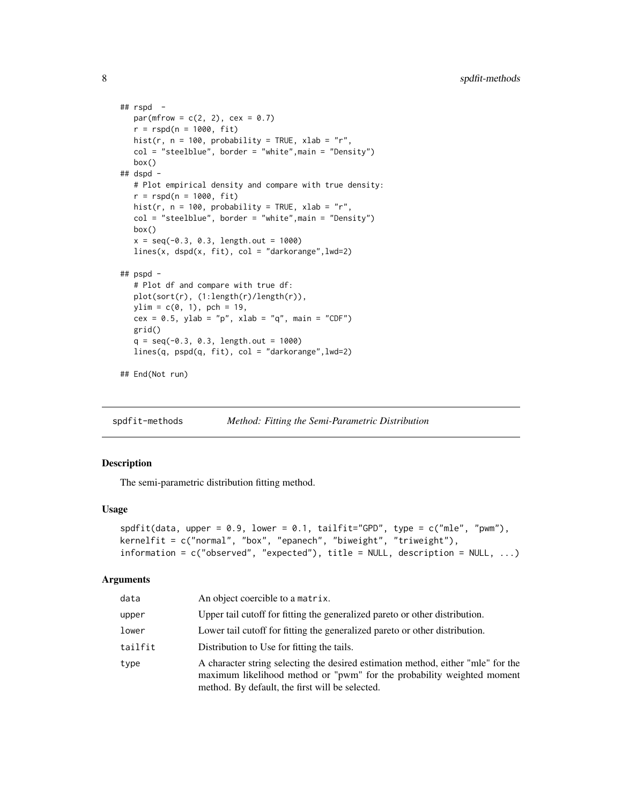```
## rspd -
  par(mfrow = c(2, 2), cex = 0.7)r = rspd(n = 1000, fit)hist(r, n = 100, probability = TRUE, xlab = "r",
  col = "steelblue", border = "white", main = "Density")box()
## dspd -
  # Plot empirical density and compare with true density:
  r = rspd(n = 1000, fit)hist(r, n = 100, probability = TRUE, xlab = "r",
  col = "steelblue", border = "white",main = "Density")
  box()
  x = seq(-0.3, 0.3, length.out = 1000)lines(x, dspd(x, fit), col = "darkorange", lwd=2)## pspd -
  # Plot df and compare with true df:
  plot(sort(r), (1:length(r)/length(r)),
  ylim = c(0, 1), pch = 19,
  cex = 0.5, ylab = "p", xlab = "q", main = "CDF")
  grid()
  q = seq(-0.3, 0.3, length.out = 1000)lines(q, pspd(q, fit), col = "darkorange",lwd=2)
## End(Not run)
```
spdfit-methods *Method: Fitting the Semi-Parametric Distribution*

#### <span id="page-7-1"></span>Description

The semi-parametric distribution fitting method.

#### Usage

```
spdfit(data, upper = 0.9, lower = 0.1, tailfit='GPD", type = c("mle", "pwm"),kernelfit = c("normal", "box", "epanech", "biweight", "triweight"),
information = c("observed", "expected"), title = NULL, description = NULL, ...)
```
#### **Arguments**

| data    | An object coercible to a matrix.                                                                                                                                                                              |
|---------|---------------------------------------------------------------------------------------------------------------------------------------------------------------------------------------------------------------|
| upper   | Upper tail cutoff for fitting the generalized pareto or other distribution.                                                                                                                                   |
| lower   | Lower tail cutoff for fitting the generalized pareto or other distribution.                                                                                                                                   |
| tailfit | Distribution to Use for fitting the tails.                                                                                                                                                                    |
| type    | A character string selecting the desired estimation method, either "mle" for the<br>maximum likelihood method or "pwm" for the probability weighted moment<br>method. By default, the first will be selected. |

<span id="page-7-0"></span>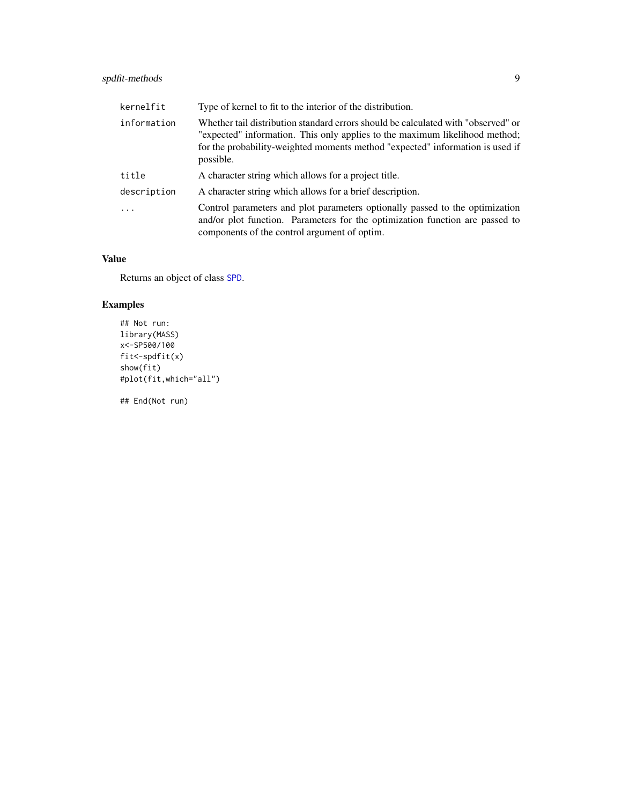# <span id="page-8-0"></span>spdfit-methods 9

| kernelfit   | Type of kernel to fit to the interior of the distribution.                                                                                                                                                                                                     |
|-------------|----------------------------------------------------------------------------------------------------------------------------------------------------------------------------------------------------------------------------------------------------------------|
| information | Whether tail distribution standard errors should be calculated with "observed" or<br>"expected" information. This only applies to the maximum likelihood method;<br>for the probability-weighted moments method "expected" information is used if<br>possible. |
| title       | A character string which allows for a project title.                                                                                                                                                                                                           |
| description | A character string which allows for a brief description.                                                                                                                                                                                                       |
|             | Control parameters and plot parameters optionally passed to the optimization<br>and/or plot function. Parameters for the optimization function are passed to<br>components of the control argument of optim.                                                   |

# Value

Returns an object of class [SPD](#page-4-1).

# Examples

```
## Not run:
library(MASS)
x<-SP500/100
fit<-spdfit(x)
show(fit)
#plot(fit,which="all")
```
## End(Not run)